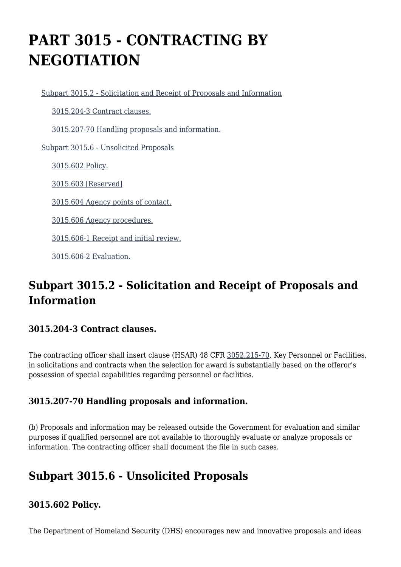# **PART 3015 - CONTRACTING BY NEGOTIATION**

[Subpart 3015.2 - Solicitation and Receipt of Proposals and Information](https://origin-www.acquisition.gov/%5Brp:link:hsar-part-3015%5D#Subpart_3015_2_T48_70210161)

[3015.204-3 Contract clauses.](https://origin-www.acquisition.gov/%5Brp:link:hsar-part-3015%5D#Section_3015_204_3_T48_7021016111)

[3015.207-70 Handling proposals and information.](https://origin-www.acquisition.gov/%5Brp:link:hsar-part-3015%5D#Section_3015_207_70_T48_7021016112)

[Subpart 3015.6 - Unsolicited Proposals](https://origin-www.acquisition.gov/%5Brp:link:hsar-part-3015%5D#Subpart_3015_6_T48_70210162)

[3015.602 Policy.](https://origin-www.acquisition.gov/%5Brp:link:hsar-part-3015%5D#Section_3015_602_T48_7021016211)

[3015.603 \[Reserved\]](https://origin-www.acquisition.gov/%5Brp:link:hsar-part-3015%5D#Section_3015_603_T48_7021016212)

[3015.604 Agency points of contact.](https://origin-www.acquisition.gov/%5Brp:link:hsar-part-3015%5D#Section_3015_604_T48_7021016213)

[3015.606 Agency procedures.](https://origin-www.acquisition.gov/%5Brp:link:hsar-part-3015%5D#Section_3015_606_T48_7021016214)

[3015.606-1 Receipt and initial review.](https://origin-www.acquisition.gov/%5Brp:link:hsar-part-3015%5D#Section_3015_606_1_T48_7021016215)

[3015.606-2 Evaluation.](https://origin-www.acquisition.gov/%5Brp:link:hsar-part-3015%5D#Section_3015_606_2_T48_7021016216)

# **Subpart 3015.2 - Solicitation and Receipt of Proposals and Information**

## **3015.204-3 Contract clauses.**

The contracting officer shall insert clause (HSAR) 48 CFR [3052.215-70](https://origin-www.acquisition.gov/%5Brp:link:hsar-part-3052%5D#Section_3052_215_70_T48_70215512114), Key Personnel or Facilities, in solicitations and contracts when the selection for award is substantially based on the offeror's possession of special capabilities regarding personnel or facilities.

## **3015.207-70 Handling proposals and information.**

(b) Proposals and information may be released outside the Government for evaluation and similar purposes if qualified personnel are not available to thoroughly evaluate or analyze proposals or information. The contracting officer shall document the file in such cases.

# **Subpart 3015.6 - Unsolicited Proposals**

## **3015.602 Policy.**

The Department of Homeland Security (DHS) encourages new and innovative proposals and ideas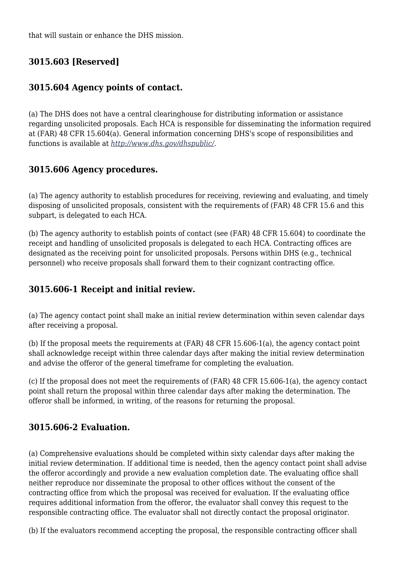that will sustain or enhance the DHS mission.

# **3015.603 [Reserved]**

# **3015.604 Agency points of contact.**

(a) The DHS does not have a central clearinghouse for distributing information or assistance regarding unsolicited proposals. Each HCA is responsible for disseminating the information required at (FAR) 48 CFR 15.604(a). General information concerning DHS's scope of responsibilities and functions is available at *<http://www.dhs.gov/dhspublic/>.*

# **3015.606 Agency procedures.**

(a) The agency authority to establish procedures for receiving, reviewing and evaluating, and timely disposing of unsolicited proposals, consistent with the requirements of (FAR) 48 CFR 15.6 and this subpart, is delegated to each HCA.

(b) The agency authority to establish points of contact (see (FAR) 48 CFR 15.604) to coordinate the receipt and handling of unsolicited proposals is delegated to each HCA. Contracting offices are designated as the receiving point for unsolicited proposals. Persons within DHS (e.g., technical personnel) who receive proposals shall forward them to their cognizant contracting office.

# **3015.606-1 Receipt and initial review.**

(a) The agency contact point shall make an initial review determination within seven calendar days after receiving a proposal.

(b) If the proposal meets the requirements at (FAR) 48 CFR 15.606-1(a), the agency contact point shall acknowledge receipt within three calendar days after making the initial review determination and advise the offeror of the general timeframe for completing the evaluation.

(c) If the proposal does not meet the requirements of (FAR) 48 CFR 15.606-1(a), the agency contact point shall return the proposal within three calendar days after making the determination. The offeror shall be informed, in writing, of the reasons for returning the proposal.

## **3015.606-2 Evaluation.**

(a) Comprehensive evaluations should be completed within sixty calendar days after making the initial review determination. If additional time is needed, then the agency contact point shall advise the offeror accordingly and provide a new evaluation completion date. The evaluating office shall neither reproduce nor disseminate the proposal to other offices without the consent of the contracting office from which the proposal was received for evaluation. If the evaluating office requires additional information from the offeror, the evaluator shall convey this request to the responsible contracting office. The evaluator shall not directly contact the proposal originator.

(b) If the evaluators recommend accepting the proposal, the responsible contracting officer shall